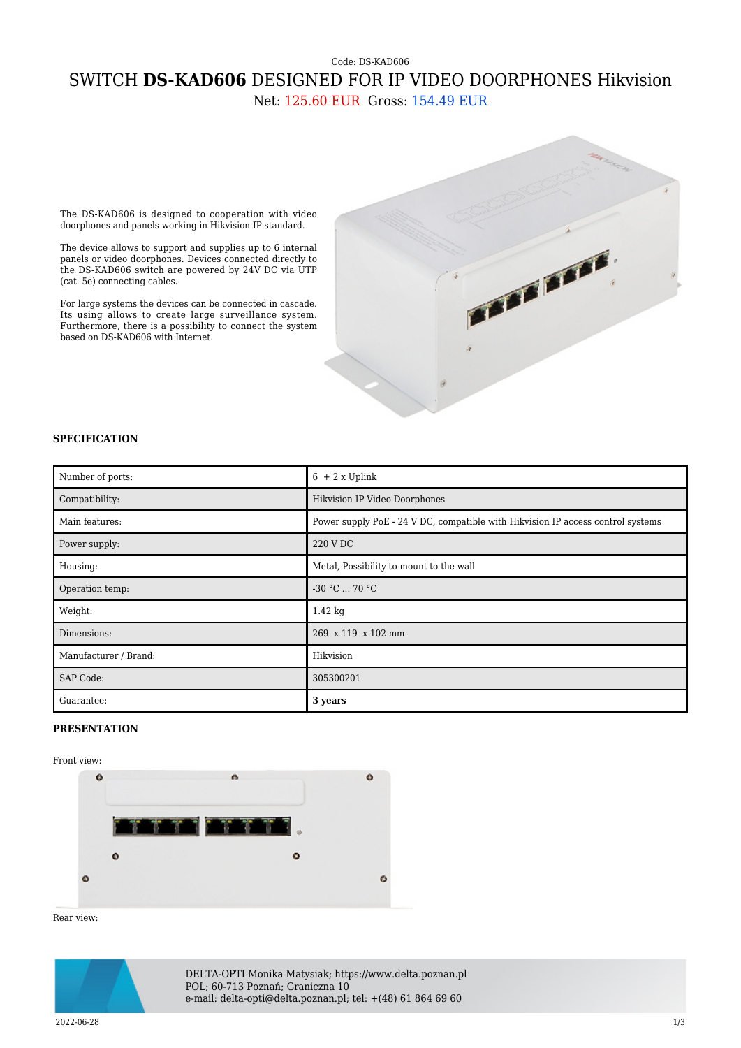## Code: DS-KAD606 SWITCH **DS-KAD606** DESIGNED FOR IP VIDEO DOORPHONES Hikvision Net: 125.60 EUR Gross: 154.49 EUR

The DS-KAD606 is designed to cooperation with video doorphones and panels working in Hikvision IP standard.

The device allows to support and supplies up to 6 internal panels or video doorphones. Devices connected directly to the DS-KAD606 switch are powered by 24V DC via UTP (cat. 5e) connecting cables.

For large systems the devices can be connected in cascade. Its using allows to create large surveillance system. Furthermore, there is a possibility to connect the system based on DS-KAD606 with Internet.



## **SPECIFICATION**

| Number of ports:      | $6 + 2x$ Uplink                                                                 |
|-----------------------|---------------------------------------------------------------------------------|
| Compatibility:        | Hikvision IP Video Doorphones                                                   |
| Main features:        | Power supply PoE - 24 V DC, compatible with Hikvision IP access control systems |
| Power supply:         | 220 V DC                                                                        |
| Housing:              | Metal, Possibility to mount to the wall                                         |
| Operation temp:       | $-30 °C$ 70 °C                                                                  |
| Weight:               | $1.42 \text{ kg}$                                                               |
| Dimensions:           | 269 x 119 x 102 mm                                                              |
| Manufacturer / Brand: | Hikvision                                                                       |
| SAP Code:             | 305300201                                                                       |
| Guarantee:            | 3 years                                                                         |

## **PRESENTATION**

## Front view:



Rear view:



DELTA-OPTI Monika Matysiak; https://www.delta.poznan.pl POL; 60-713 Poznań; Graniczna 10 e-mail: delta-opti@delta.poznan.pl; tel: +(48) 61 864 69 60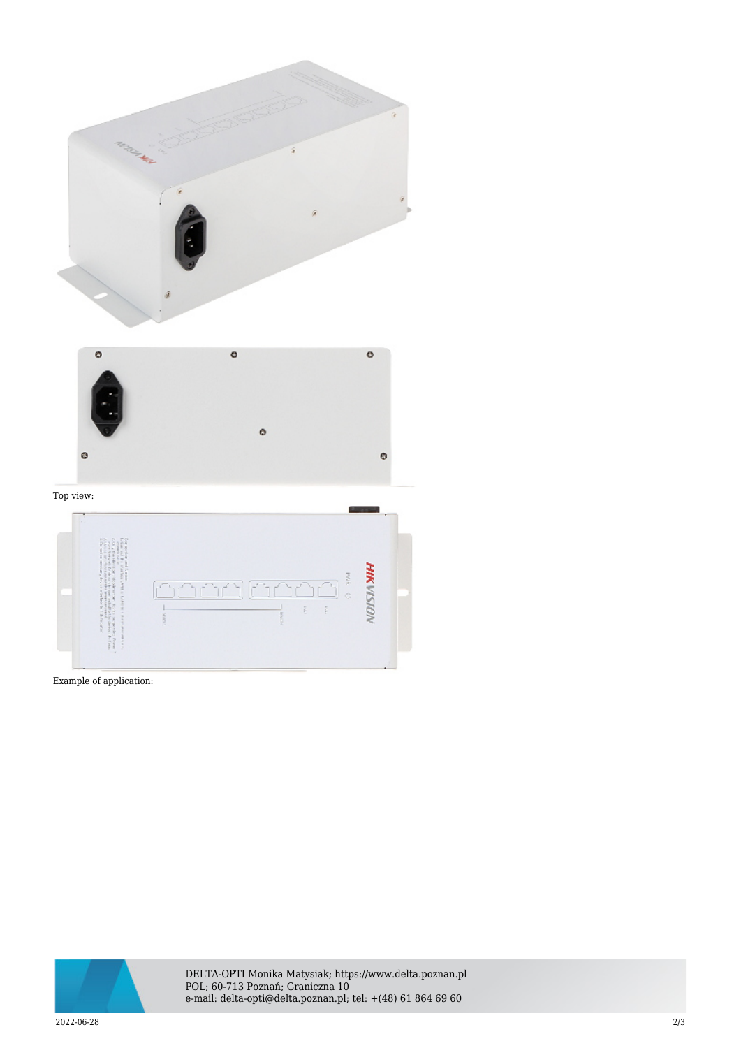

Example of application:



DELTA-OPTI Monika Matysiak; https://www.delta.poznan.pl POL; 60-713 Poznań; Graniczna 10 e-mail: delta-opti@delta.poznan.pl; tel: +(48) 61 864 69 60

2022-06-28 2/3